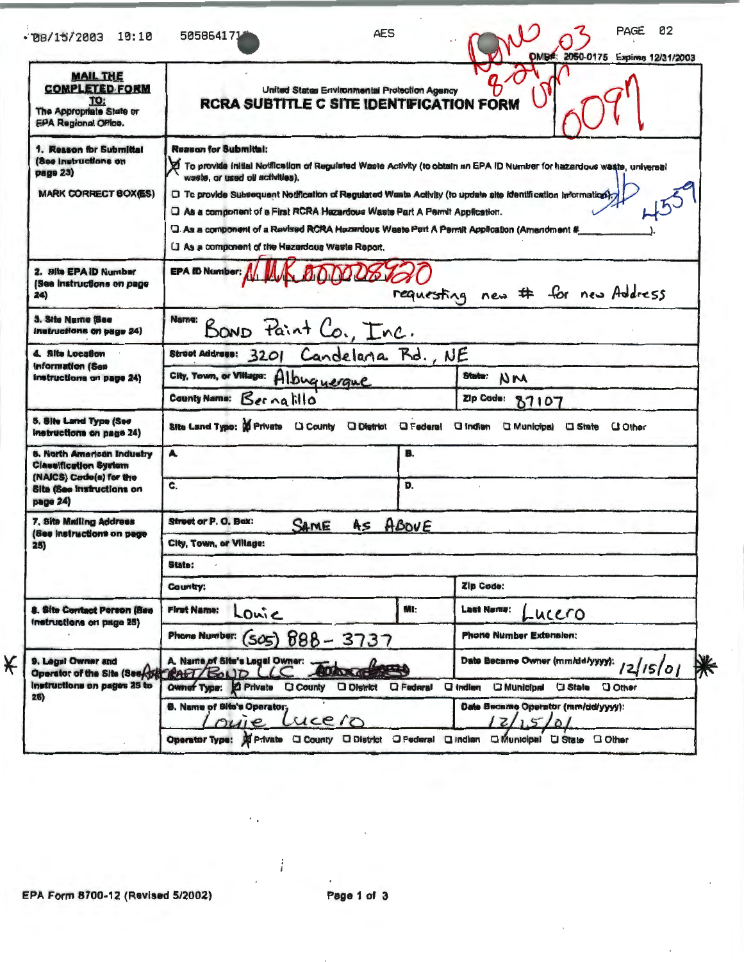| $*78/15/2003$ 10:10                                                                                        | AES<br>505864171                                                                                                                                                                                                                                                                                                                                                                                                                                                                                                                            |     | 02<br>PAGE<br>DMB#: 2050-0175 Expires 12/31/2003 |  |  |  |  |
|------------------------------------------------------------------------------------------------------------|---------------------------------------------------------------------------------------------------------------------------------------------------------------------------------------------------------------------------------------------------------------------------------------------------------------------------------------------------------------------------------------------------------------------------------------------------------------------------------------------------------------------------------------------|-----|--------------------------------------------------|--|--|--|--|
| <b>MAIL THE</b><br><b>COMPLETED FORM</b><br>TO:<br>The Appropriate State or<br><b>EPA Regional Office.</b> | United States Environmental Protection Agency<br><b>RCRA SUBTITLE C SITE IDENTIFICATION FORM</b>                                                                                                                                                                                                                                                                                                                                                                                                                                            |     |                                                  |  |  |  |  |
| 1. Reason for Submittal<br>(See instructions on<br>page 23)<br><b>MARK CORRECT BOX(ES)</b>                 | <b>Reason for Submittal:</b><br>To provide initial Notification of Regulated Waste Activity (to obtain an EPA ID Number for hazardous waste, universal<br>waste, or used oil activities).<br>C To provide Subsequent Notification of Regulated Waste Activity (to update site identification information).<br>Q As a component of a First RCRA Hazardous Waste Part A Permit Application.<br>Q. As a component of a Revised RCRA Hazardous Waste Part A Permit Application (Amendment #<br>Li As a component of the Hazardous Waste Report. |     |                                                  |  |  |  |  |
| 2. Site EPA ID Number<br>(See instructions on page<br>24)                                                  | <b>EPA ID Number:</b>                                                                                                                                                                                                                                                                                                                                                                                                                                                                                                                       |     | requesting new # for new Address                 |  |  |  |  |
| <b>3. Site Numo (See</b><br>Instructions on page 24)                                                       | Name:<br>BOND Paint Co., Inc.                                                                                                                                                                                                                                                                                                                                                                                                                                                                                                               |     |                                                  |  |  |  |  |
| 4. Site Location                                                                                           | Street Address: 3201 Candelana Rd., NE                                                                                                                                                                                                                                                                                                                                                                                                                                                                                                      |     |                                                  |  |  |  |  |
| <b>Information (See</b><br>Instructions on page 24)                                                        | City, Town, or Villago: Albuguerque                                                                                                                                                                                                                                                                                                                                                                                                                                                                                                         |     | State:<br>NM                                     |  |  |  |  |
|                                                                                                            | County Name: Bernatillo                                                                                                                                                                                                                                                                                                                                                                                                                                                                                                                     |     | Zip Code: 87107                                  |  |  |  |  |
| 5. Site Land Type (See<br>instructions on page 24)                                                         | Site Land Type: 0 Private Li County District G Federal G Indien G Municipal G State                                                                                                                                                                                                                                                                                                                                                                                                                                                         |     | <b>U</b> Other                                   |  |  |  |  |
| <b>6. North American Industry</b><br><b>Classification System</b>                                          | A                                                                                                                                                                                                                                                                                                                                                                                                                                                                                                                                           | B.  |                                                  |  |  |  |  |
| (NAICS) Cade(s) for the<br><b>Site (See Instructions on</b><br>page 24)                                    | C.                                                                                                                                                                                                                                                                                                                                                                                                                                                                                                                                          | D.  |                                                  |  |  |  |  |
| 7. Site Mailing Address<br>(See instructions on page<br>25)                                                | Street or P. O. Box:<br>SAME<br>As ABOVE                                                                                                                                                                                                                                                                                                                                                                                                                                                                                                    |     |                                                  |  |  |  |  |
|                                                                                                            | City, Town, or Village:                                                                                                                                                                                                                                                                                                                                                                                                                                                                                                                     |     |                                                  |  |  |  |  |
|                                                                                                            | State:                                                                                                                                                                                                                                                                                                                                                                                                                                                                                                                                      |     |                                                  |  |  |  |  |
|                                                                                                            | Country;                                                                                                                                                                                                                                                                                                                                                                                                                                                                                                                                    |     | Zip Code:                                        |  |  |  |  |
| 8. Site Contact Person (Sas<br>Instructions on page 25)                                                    | <b>First Name:</b><br>Louie                                                                                                                                                                                                                                                                                                                                                                                                                                                                                                                 | MI: | <b>Last Neme:</b><br>-ucero                      |  |  |  |  |
|                                                                                                            | Phone Number: (SO5) 888 - 3737                                                                                                                                                                                                                                                                                                                                                                                                                                                                                                              |     | <b>Phone Number Extension:</b>                   |  |  |  |  |
| 9. Legal Owner and                                                                                         | A. Name of Site's Logal Owner:                                                                                                                                                                                                                                                                                                                                                                                                                                                                                                              |     | Date Became Owner (mm/dd/yyyy):<br>12/15/01      |  |  |  |  |

 $26)$ 

**B. Name of Site's Operator:** 

 $\sqrt{2}$ 

 $\overline{ie}$ 

£

 $1221$ 

Operator Type: A Private CI County O District O Federal O Indian Ci Municipal CI State O Other

Date Became Operator (mm/dd/yyyy):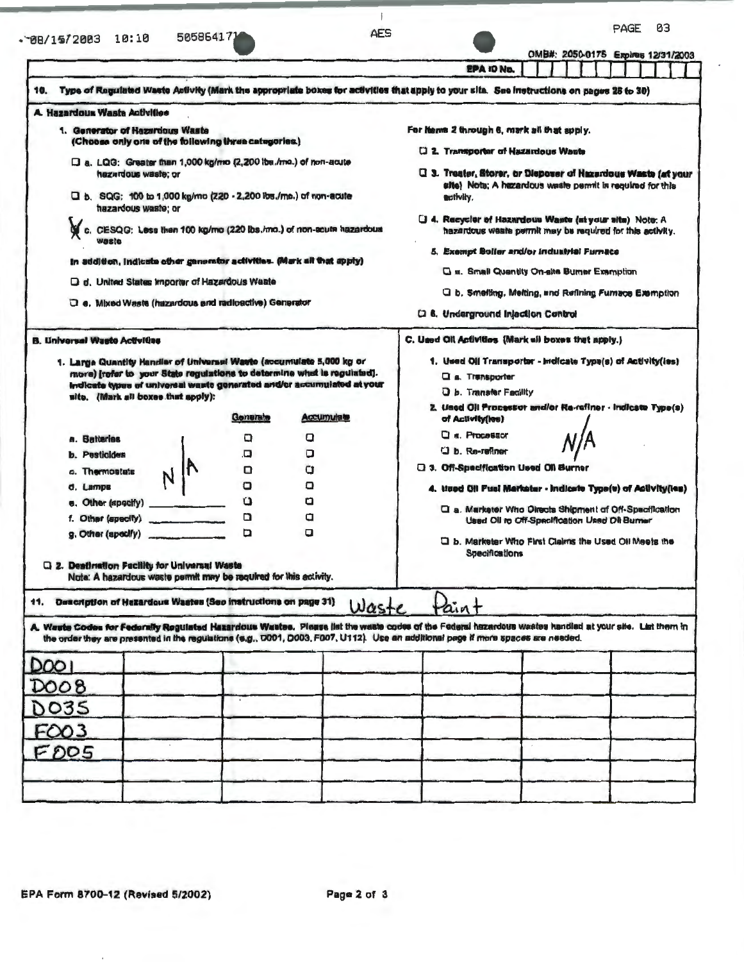## $\cdot$  88/15/2003 10:10 505864171

 $\mathcal{A}$ AES

PAGE 03

|                                                                                                                                                                                                                                                                                                                          |  |          |                                                                                                                                                   | OMB#: 2050-0175 Expires 12/31/2003<br><b>EPA ID No.</b>                                                                                                                                                                                                                                                                                                                                                                                                                 |  |  |  |  |  |  |
|--------------------------------------------------------------------------------------------------------------------------------------------------------------------------------------------------------------------------------------------------------------------------------------------------------------------------|--|----------|---------------------------------------------------------------------------------------------------------------------------------------------------|-------------------------------------------------------------------------------------------------------------------------------------------------------------------------------------------------------------------------------------------------------------------------------------------------------------------------------------------------------------------------------------------------------------------------------------------------------------------------|--|--|--|--|--|--|
| 10.                                                                                                                                                                                                                                                                                                                      |  |          |                                                                                                                                                   | Type of Regulated Waste Activity (Mark the appropriate boxes for activities that apply to your site. See instructions on pages 28 to 30)                                                                                                                                                                                                                                                                                                                                |  |  |  |  |  |  |
| A. Hazardous Waste Activities                                                                                                                                                                                                                                                                                            |  |          |                                                                                                                                                   |                                                                                                                                                                                                                                                                                                                                                                                                                                                                         |  |  |  |  |  |  |
| 1. Generator of Hazardous Waste<br>(Choose only one of the following three categories.)                                                                                                                                                                                                                                  |  |          |                                                                                                                                                   | For items 2 through 6, mark all that apply.                                                                                                                                                                                                                                                                                                                                                                                                                             |  |  |  |  |  |  |
| D a. LQG: Greater than 1,000 kg/mo (2,200 lbs./mo.) of non-acute<br>hazardous waste; or<br>D b. SQG: 100 to 1,000 kg/mo (220 - 2,200 lbs./mo.) of non-acute<br>hazardous waste; or<br>wasle<br>In addition, indicate other generator activities. (Mark all that apply)<br>D d. United States Importer of Hazardous Waate |  |          | c. CESQG: Less than 100 kg/mo (220 lbs./mo.) of non-acute hazardous                                                                               | [] 2. Transporter of Hazardous Waste<br>C. 3. Treater, Storer, or Dieposer of Hazardous Waste (at your<br>elte) Note; A hazardous waste permit is required for this<br>activity.<br>U 4. Recycler of Hazardous Waste (at your site) Note: A<br>hazardous waste permit may be required for this activity.<br>5. Exempt Boller and/or industrial Furnace<br><b>Q a. Small Quentity On-site Burner Exemption</b><br>□ b. Smelting, Melting, and Refining Furnace Exemption |  |  |  |  |  |  |
| Q e. Mixed Waste (hazardous and radioactive) Generator                                                                                                                                                                                                                                                                   |  |          |                                                                                                                                                   | <b>Q 6. Underground Injection Control</b>                                                                                                                                                                                                                                                                                                                                                                                                                               |  |  |  |  |  |  |
| <b>B. Universal Waste Activities</b><br>1. Large Quantity Handler of Universal Waste (accumulate 5,000 kg or<br>site. (Mark all boxes that spply):                                                                                                                                                                       |  |          | more) [rofer to your State regulations to determine what is regulated].<br>indicate types of universal waste generated and/or accumulated at your | C. Used Oil Activities (Mark all boxes that apply.)<br>1. Used Oil Transportor - Indicate Type(s) of Activity(ies)<br>a. Transporter<br>O b. Transfer Facility<br>2. Used Oil Processor and/or Re-refiner - Indicate Type(s)                                                                                                                                                                                                                                            |  |  |  |  |  |  |
|                                                                                                                                                                                                                                                                                                                          |  | Generate | Accumulate                                                                                                                                        | of Activity(les)                                                                                                                                                                                                                                                                                                                                                                                                                                                        |  |  |  |  |  |  |
| a. Batteries                                                                                                                                                                                                                                                                                                             |  | o        | o                                                                                                                                                 | $a$ . Processor                                                                                                                                                                                                                                                                                                                                                                                                                                                         |  |  |  |  |  |  |
| <b>b.</b> Pesticides                                                                                                                                                                                                                                                                                                     |  | O.       | о                                                                                                                                                 | D b. Re-refiner                                                                                                                                                                                                                                                                                                                                                                                                                                                         |  |  |  |  |  |  |
| o. Thermostats                                                                                                                                                                                                                                                                                                           |  | o        | cı                                                                                                                                                | <b>Q 3. Off-Specification Used Oil Burner</b>                                                                                                                                                                                                                                                                                                                                                                                                                           |  |  |  |  |  |  |
| d. Lamps                                                                                                                                                                                                                                                                                                                 |  | о        | o                                                                                                                                                 | 4. Used Oil Fuel Markater - Indicate Type(s) of Activity(les)                                                                                                                                                                                                                                                                                                                                                                                                           |  |  |  |  |  |  |
|                                                                                                                                                                                                                                                                                                                          |  | σ        | О                                                                                                                                                 | Q a. Marketer Who Directs Shipment of Off-Specification                                                                                                                                                                                                                                                                                                                                                                                                                 |  |  |  |  |  |  |
|                                                                                                                                                                                                                                                                                                                          |  | ם<br>O   | a<br>a                                                                                                                                            | Used Oil to Off-Specification Used Oil Burner                                                                                                                                                                                                                                                                                                                                                                                                                           |  |  |  |  |  |  |
| g. Other (specify)<br>Q 2. Destination Facility for Universal Waste<br>Note: A hazardous waste permit may be required for this activity.                                                                                                                                                                                 |  |          |                                                                                                                                                   | D b. Marketer Who First Claims the Used Oil Meets the<br><b>Specifications</b>                                                                                                                                                                                                                                                                                                                                                                                          |  |  |  |  |  |  |
| 11. Description of Hazardous Wastes (See Instructions on page 31)                                                                                                                                                                                                                                                        |  |          | Waste                                                                                                                                             | Paint                                                                                                                                                                                                                                                                                                                                                                                                                                                                   |  |  |  |  |  |  |
|                                                                                                                                                                                                                                                                                                                          |  |          |                                                                                                                                                   | A. Waste Codes for Federally Regulated Hazardous Wastes. Please list the waste codes of the Federal hazardous wastes handled at your site. List them in<br>the order they are presented in the regulations (e.g., D001, D003, F007, U112). Use an additional page if more spaces are needed.                                                                                                                                                                            |  |  |  |  |  |  |
| DOO I                                                                                                                                                                                                                                                                                                                    |  |          |                                                                                                                                                   |                                                                                                                                                                                                                                                                                                                                                                                                                                                                         |  |  |  |  |  |  |
| DOO8                                                                                                                                                                                                                                                                                                                     |  |          |                                                                                                                                                   |                                                                                                                                                                                                                                                                                                                                                                                                                                                                         |  |  |  |  |  |  |
| DO35                                                                                                                                                                                                                                                                                                                     |  |          |                                                                                                                                                   |                                                                                                                                                                                                                                                                                                                                                                                                                                                                         |  |  |  |  |  |  |
| FO03                                                                                                                                                                                                                                                                                                                     |  |          |                                                                                                                                                   |                                                                                                                                                                                                                                                                                                                                                                                                                                                                         |  |  |  |  |  |  |
| FDO5                                                                                                                                                                                                                                                                                                                     |  |          |                                                                                                                                                   |                                                                                                                                                                                                                                                                                                                                                                                                                                                                         |  |  |  |  |  |  |
|                                                                                                                                                                                                                                                                                                                          |  |          |                                                                                                                                                   |                                                                                                                                                                                                                                                                                                                                                                                                                                                                         |  |  |  |  |  |  |
|                                                                                                                                                                                                                                                                                                                          |  |          |                                                                                                                                                   |                                                                                                                                                                                                                                                                                                                                                                                                                                                                         |  |  |  |  |  |  |